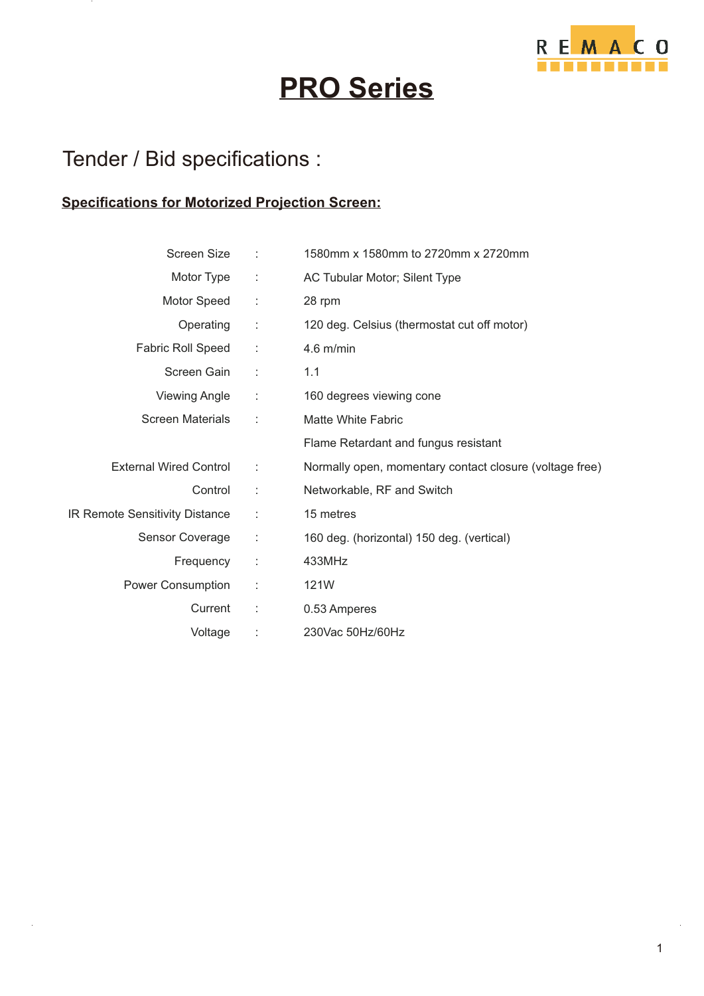

# **PRO Series**

### Tender / Bid specifications :

#### **Specifications for Motorized Projection Screen:**

| <b>Screen Size</b>             | ÷                    | 1580mm x 1580mm to 2720mm x 2720mm                      |
|--------------------------------|----------------------|---------------------------------------------------------|
| Motor Type                     | ÷                    | AC Tubular Motor; Silent Type                           |
| Motor Speed                    | ÷                    | 28 rpm                                                  |
| Operating                      | ÷                    | 120 deg. Celsius (thermostat cut off motor)             |
| Fabric Roll Speed              | $\ddot{\phantom{a}}$ | $4.6$ m/min                                             |
| Screen Gain                    | $\mathbb{C}$         | 1.1                                                     |
| <b>Viewing Angle</b>           | ÷                    | 160 degrees viewing cone                                |
| <b>Screen Materials</b>        | ÷                    | <b>Matte White Fabric</b>                               |
|                                |                      | Flame Retardant and fungus resistant                    |
| <b>External Wired Control</b>  | ÷                    | Normally open, momentary contact closure (voltage free) |
| Control                        | ÷                    | Networkable, RF and Switch                              |
| IR Remote Sensitivity Distance | ÷                    | 15 metres                                               |
| Sensor Coverage                | ÷                    | 160 deg. (horizontal) 150 deg. (vertical)               |
| Frequency                      | ÷                    | 433MHz                                                  |
| Power Consumption              | ÷                    | 121W                                                    |
| Current                        | ÷                    | 0.53 Amperes                                            |
| Voltage                        |                      | 230Vac 50Hz/60Hz                                        |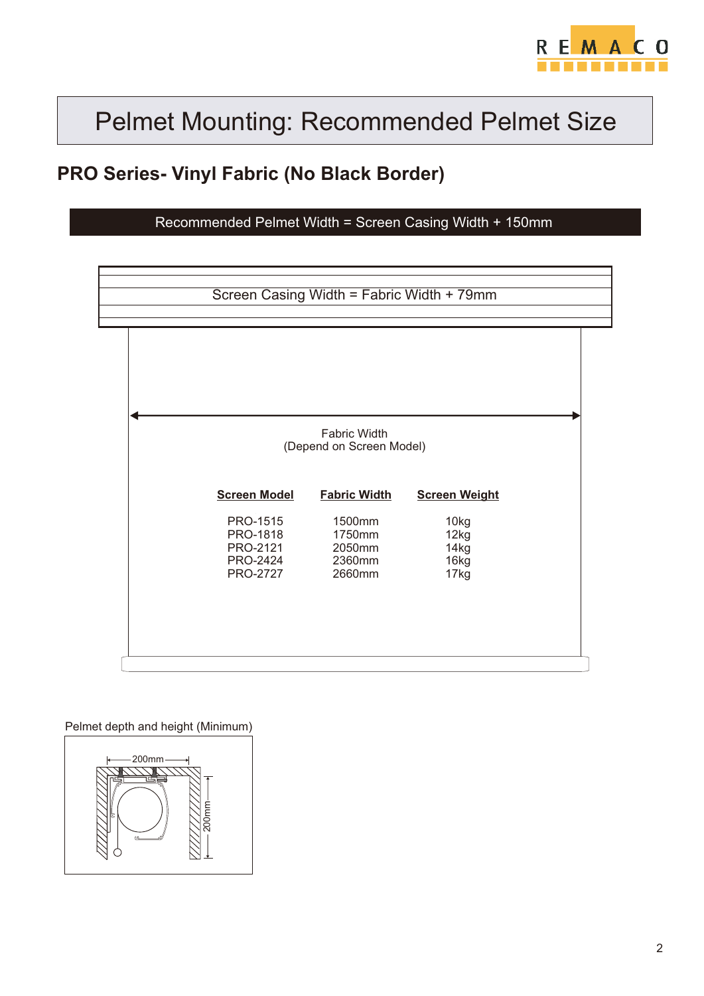

#### **PRO Series- Vinyl Fabric (No Black Border)**

Recommended Pelmet Width = Screen Casing Width + 150mm

|                                    | <b>Fabric Width</b><br>(Depend on Screen Model) |                      |  |
|------------------------------------|-------------------------------------------------|----------------------|--|
| <b>Screen Model</b>                | <b>Fabric Width</b>                             | <b>Screen Weight</b> |  |
| PRO-1515                           | 1500mm                                          | 10kg                 |  |
| PRO-1818<br>PRO-2121               | 1750mm<br>2050mm                                | 12kg<br>14kg         |  |
| <b>PRO-2424</b><br><b>PRO-2727</b> | 2360mm<br>2660mm                                | 16kg                 |  |
|                                    |                                                 | 17kg                 |  |
|                                    |                                                 |                      |  |

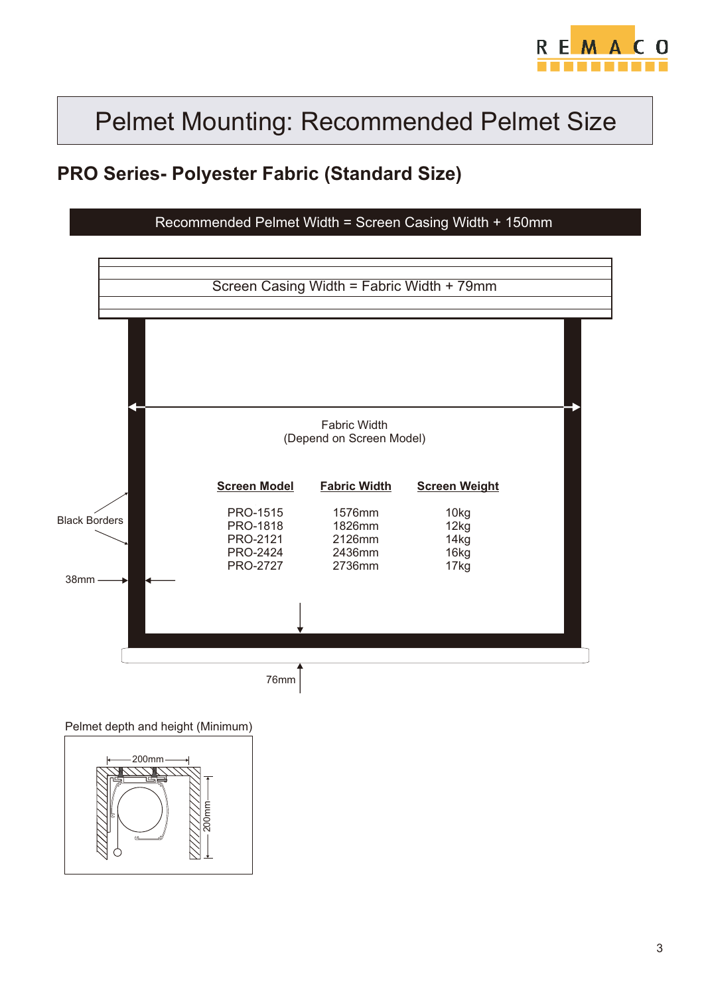

#### **PRO Series- Polyester Fabric (Standard Size)**

Recommended Pelmet Width = Screen Casing Width + 150mm



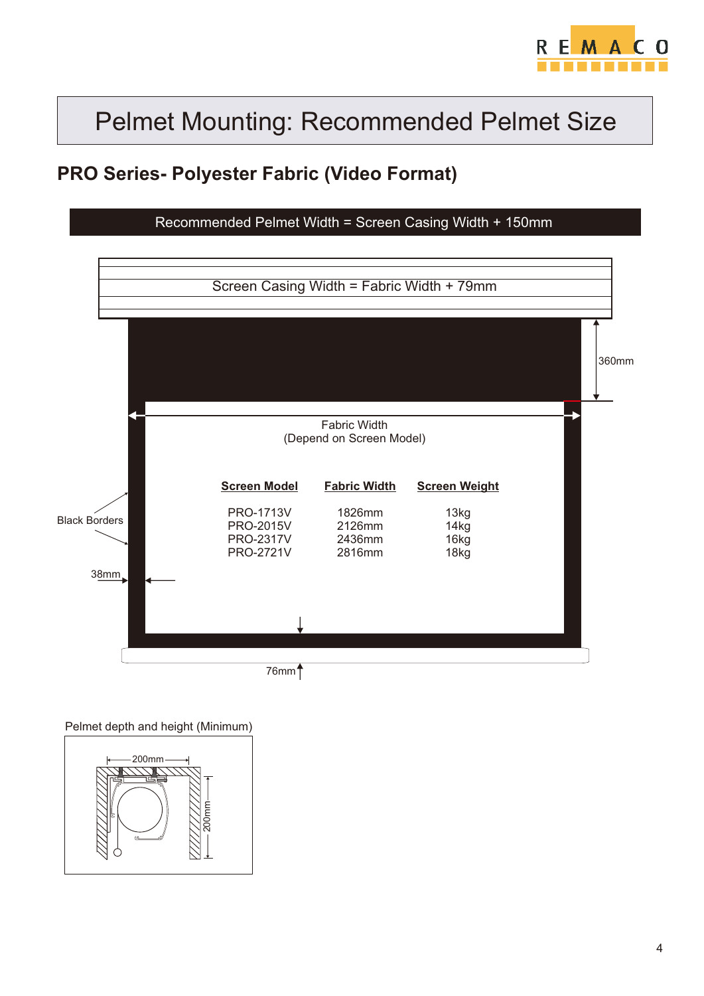

### **PRO Series- Polyester Fabric (Video Format)**

Recommended Pelmet Width = Screen Casing Width + 150mm



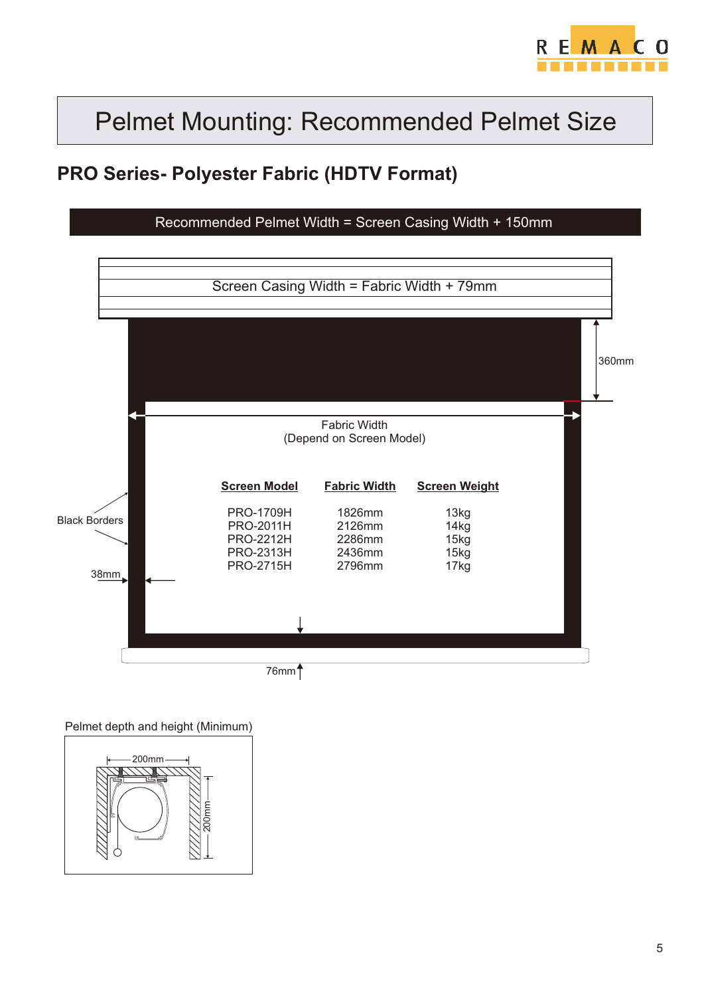

### **PRO Series- Polyester Fabric (HDTV Format)**

Recommended Pelmet Width = Screen Casing Width + 150mm



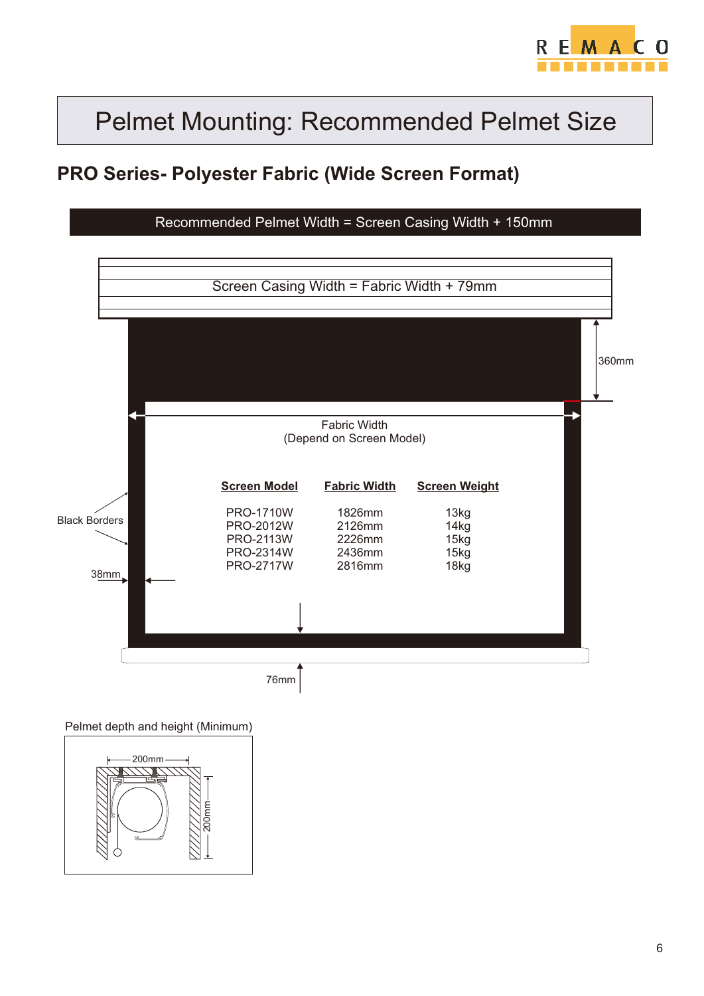

#### **PRO Series- Polyester Fabric (Wide Screen Format)**

Recommended Pelmet Width = Screen Casing Width + 150mm